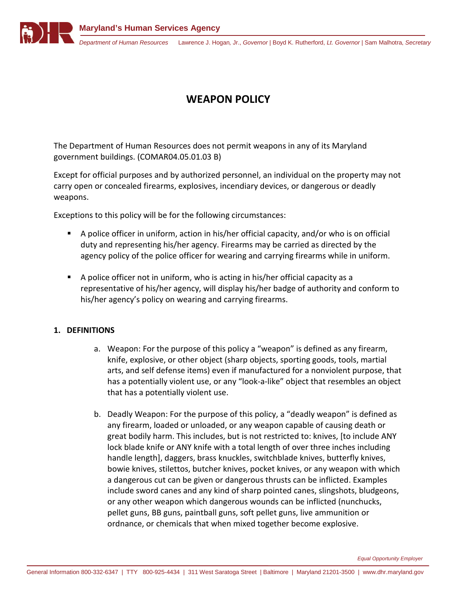

## **WEAPON POLICY**

The Department of Human Resources does not permit weapons in any of its Maryland government buildings. (COMAR04.05.01.03 B)

Except for official purposes and by authorized personnel, an individual on the property may not carry open or concealed firearms, explosives, incendiary devices, or dangerous or deadly weapons.

Exceptions to this policy will be for the following circumstances:

- A police officer in uniform, action in his/her official capacity, and/or who is on official duty and representing his/her agency. Firearms may be carried as directed by the agency policy of the police officer for wearing and carrying firearms while in uniform.
- A police officer not in uniform, who is acting in his/her official capacity as a representative of his/her agency, will display his/her badge of authority and conform to his/her agency's policy on wearing and carrying firearms.

## **1. DEFINITIONS**

- a. Weapon: For the purpose of this policy a "weapon" is defined as any firearm, knife, explosive, or other object (sharp objects, sporting goods, tools, martial arts, and self defense items) even if manufactured for a nonviolent purpose, that has a potentially violent use, or any "look-a-like" object that resembles an object that has a potentially violent use.
- b. Deadly Weapon: For the purpose of this policy, a "deadly weapon" is defined as any firearm, loaded or unloaded, or any weapon capable of causing death or great bodily harm. This includes, but is not restricted to: knives, [to include ANY lock blade knife or ANY knife with a total length of over three inches including handle length], daggers, brass knuckles, switchblade knives, butterfly knives, bowie knives, stilettos, butcher knives, pocket knives, or any weapon with which a dangerous cut can be given or dangerous thrusts can be inflicted. Examples include sword canes and any kind of sharp pointed canes, slingshots, bludgeons, or any other weapon which dangerous wounds can be inflicted (nunchucks, pellet guns, BB guns, paintball guns, soft pellet guns, live ammunition or ordnance, or chemicals that when mixed together become explosive.

*Equal Opportunity Employer*